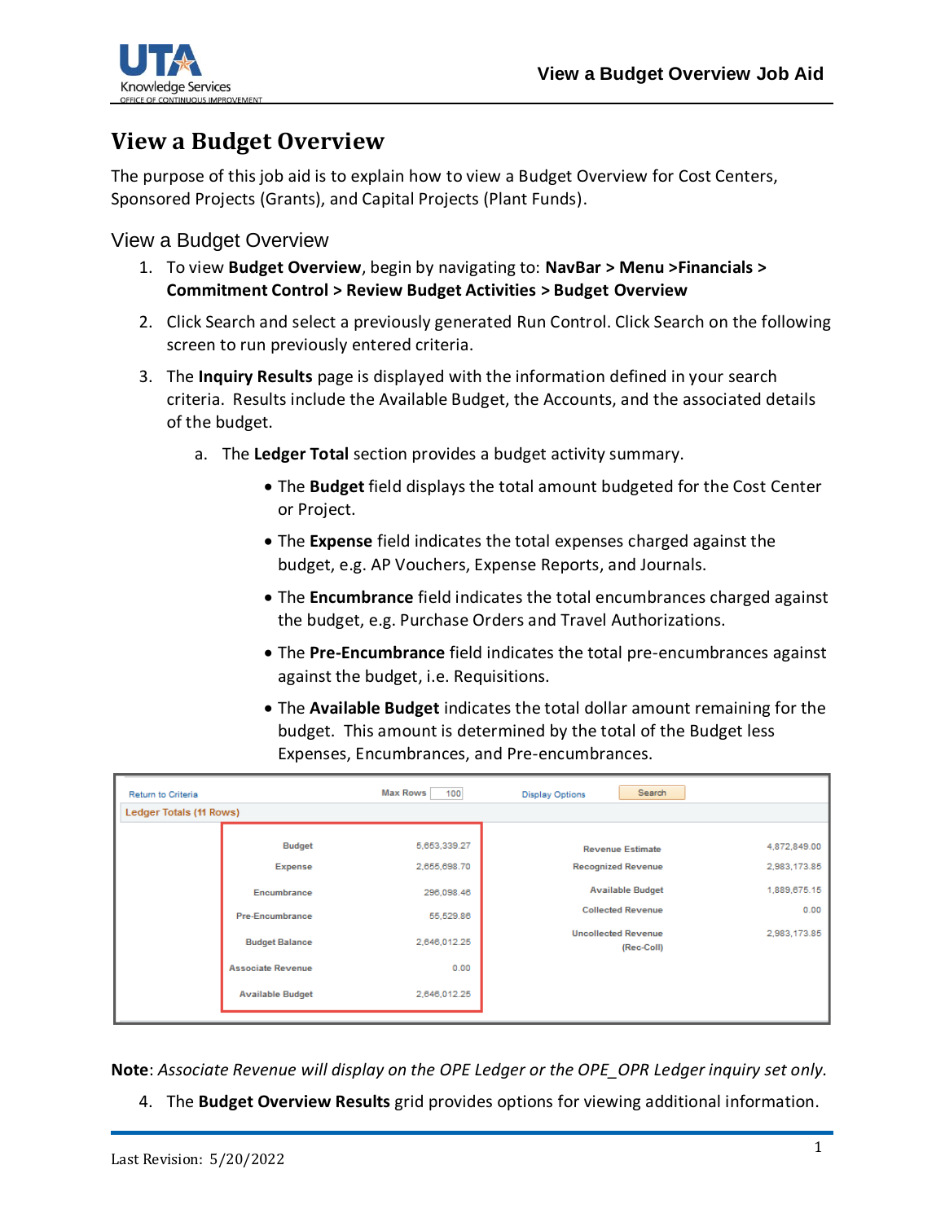

## **View a Budget Overview**

The purpose of this job aid is to explain how to view a Budget Overview for Cost Centers, Sponsored Projects (Grants), and Capital Projects (Plant Funds).

## View a Budget Overview

- 1. To view **Budget Overview**, begin by navigating to: **NavBar > Menu >Financials > Commitment Control > Review Budget Activities > Budget Overview**
- 2. Click Search and select a previously generated Run Control. Click Search on the following screen to run previously entered criteria.
- 3. The **Inquiry Results** page is displayed with the information defined in your search criteria. Results include the Available Budget, the Accounts, and the associated details of the budget.
	- a. The **Ledger Total** section provides a budget activity summary.
		- The **Budget** field displays the total amount budgeted for the Cost Center or Project.
		- The **Expense** field indicates the total expenses charged against the budget, e.g. AP Vouchers, Expense Reports, and Journals.
		- The **Encumbrance** field indicates the total encumbrances charged against the budget, e.g. Purchase Orders and Travel Authorizations.
		- The **Pre-Encumbrance** field indicates the total pre-encumbrances against against the budget, i.e. Requisitions.
		- The **Available Budget** indicates the total dollar amount remaining for the budget. This amount is determined by the total of the Budget less Expenses, Encumbrances, and Pre-encumbrances.

| Return to Criteria             |                                       | <b>Max Rows</b><br>100  | Search<br><b>Display Options</b>                     |                              |  |  |
|--------------------------------|---------------------------------------|-------------------------|------------------------------------------------------|------------------------------|--|--|
| <b>Ledger Totals (11 Rows)</b> |                                       |                         |                                                      |                              |  |  |
|                                | Budget                                | 5,653,339.27            | <b>Revenue Estimate</b>                              | 4,872,849.00                 |  |  |
|                                | Expense                               | 2,655,698.70            | <b>Recognized Revenue</b><br><b>Available Budget</b> | 2,983,173.85<br>1,889,675.15 |  |  |
|                                | Encumbrance<br><b>Pre-Encumbrance</b> | 296,098.46<br>55,529.86 | <b>Collected Revenue</b>                             | 0.00                         |  |  |
|                                | <b>Budget Balance</b>                 | 2,646,012.25            | <b>Uncollected Revenue</b><br>(Rec-Coll)             | 2,983,173.85                 |  |  |
|                                | <b>Associate Revenue</b>              | 0.00                    |                                                      |                              |  |  |
|                                | <b>Available Budget</b>               | 2,646,012.25            |                                                      |                              |  |  |

**Note**: *Associate Revenue will display on the OPE Ledger or the OPE\_OPR Ledger inquiry set only.* 

4. The **Budget Overview Results** grid provides options for viewing additional information.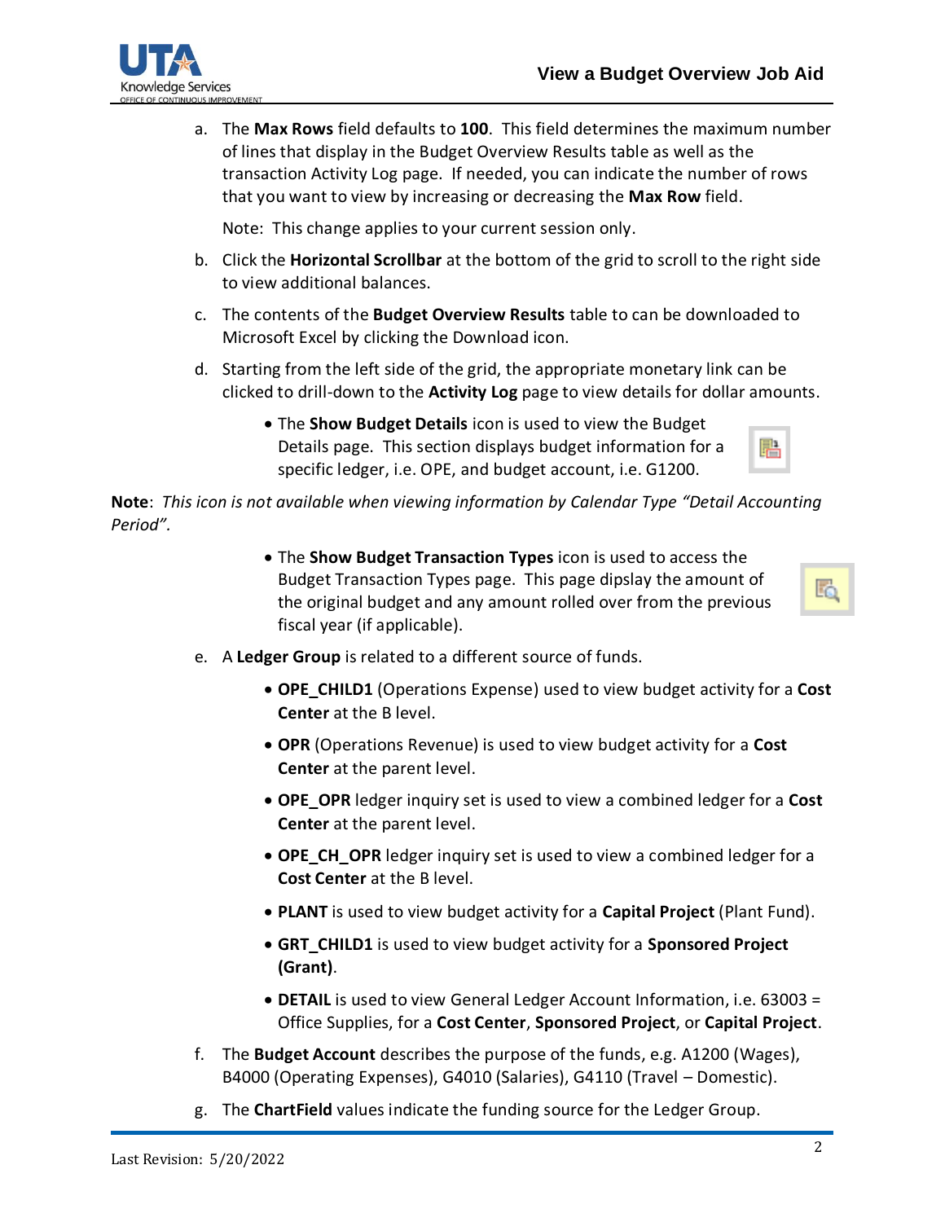

a. The **Max Rows** field defaults to **100**. This field determines the maximum number of lines that display in the Budget Overview Results table as well as the transaction Activity Log page. If needed, you can indicate the number of rows that you want to view by increasing or decreasing the **Max Row** field.

Note: This change applies to your current session only.

- b. Click the **Horizontal Scrollbar** at the bottom of the grid to scroll to the right side to view additional balances.
- c. The contents of the **Budget Overview Results** table to can be downloaded to Microsoft Excel by clicking the Download icon.
- d. Starting from the left side of the grid, the appropriate monetary link can be clicked to drill-down to the **Activity Log** page to view details for dollar amounts.
	- The **Show Budget Details** icon is used to view the Budget Details page. This section displays budget information for a specific ledger, i.e. OPE, and budget account, i.e. G1200.



**Note**: *This icon is not available when viewing information by Calendar Type "Detail Accounting Period".*

> • The **Show Budget Transaction Types** icon is used to access the Budget Transaction Types page. This page dipslay the amount of the original budget and any amount rolled over from the previous fiscal year (if applicable).

LO.

- e. A **Ledger Group** is related to a different source of funds.
	- **OPE\_CHILD1** (Operations Expense) used to view budget activity for a **Cost Center** at the B level.
	- **OPR** (Operations Revenue) is used to view budget activity for a **Cost Center** at the parent level.
	- **OPE\_OPR** ledger inquiry set is used to view a combined ledger for a **Cost Center** at the parent level.
	- **OPE\_CH\_OPR** ledger inquiry set is used to view a combined ledger for a **Cost Center** at the B level.
	- **PLANT** is used to view budget activity for a **Capital Project** (Plant Fund).
	- **GRT\_CHILD1** is used to view budget activity for a **Sponsored Project (Grant)**.
	- **DETAIL** is used to view General Ledger Account Information, i.e. 63003 = Office Supplies, for a **Cost Center**, **Sponsored Project**, or **Capital Project**.
- f. The **Budget Account** describes the purpose of the funds, e.g. A1200 (Wages), B4000 (Operating Expenses), G4010 (Salaries), G4110 (Travel – Domestic).
- g. The **ChartField** values indicate the funding source for the Ledger Group.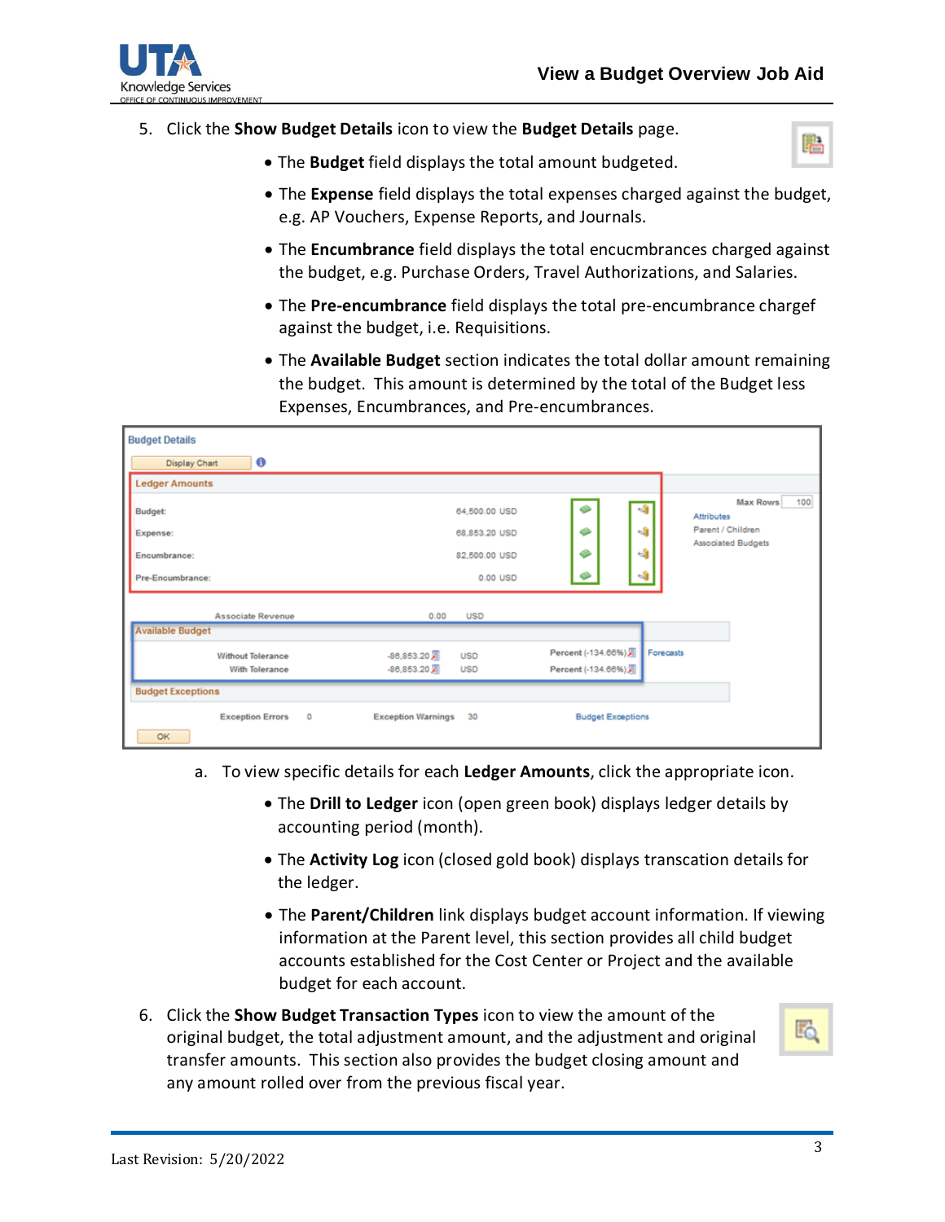

- 5. Click the **Show Budget Details** icon to view the **Budget Details** page.
	- The **Budget** field displays the total amount budgeted.



- The **Expense** field displays the total expenses charged against the budget, e.g. AP Vouchers, Expense Reports, and Journals.
- The **Encumbrance** field displays the total encucmbrances charged against the budget, e.g. Purchase Orders, Travel Authorizations, and Salaries.
- The **Pre-encumbrance** field displays the total pre-encumbrance chargef against the budget, i.e. Requisitions.
- The **Available Budget** section indicates the total dollar amount remaining the budget. This amount is determined by the total of the Budget less Expenses, Encumbrances, and Pre-encumbrances.

| <b>Budget Details</b>                                                                                                         |                                                                     |                                              |                                                                                               |  |  |  |
|-------------------------------------------------------------------------------------------------------------------------------|---------------------------------------------------------------------|----------------------------------------------|-----------------------------------------------------------------------------------------------|--|--|--|
| $\bf{0}$<br><b>Display Chart</b>                                                                                              |                                                                     |                                              |                                                                                               |  |  |  |
| <b>Ledger Amounts</b>                                                                                                         |                                                                     |                                              |                                                                                               |  |  |  |
| <b>Budget:</b><br>Expense:<br>Encumbrance:<br>Pre-Encumbrance:                                                                | 64,500.00 USD<br>68,853.20 USD<br>82,500.00 USD<br>0.00 USD         | 桶<br>۰â<br>⊕<br>崎<br>⊕<br>-9                 | 100<br><b>Max Rows</b><br><b>Attributes</b><br>Parent / Children<br><b>Associated Budgets</b> |  |  |  |
| <b>Associate Revenue</b>                                                                                                      | 0.00<br><b>USD</b>                                                  |                                              |                                                                                               |  |  |  |
| <b>Available Budget</b><br><b>Without Tolerance</b><br><b>With Tolerance</b>                                                  | $-86,853.20$ $\sqrt{3}$<br><b>USD</b><br>-86,853.20 周<br><b>USD</b> | Percent (-134.66%) 周<br>Percent (-134.66%) 周 | Forecasts                                                                                     |  |  |  |
| <b>Budget Exceptions</b><br><b>Exception Errors</b><br>$\circ$<br><b>Exception Warnings</b><br>30<br><b>Budget Exceptions</b> |                                                                     |                                              |                                                                                               |  |  |  |
| OK                                                                                                                            |                                                                     |                                              |                                                                                               |  |  |  |

- a. To view specific details for each **Ledger Amounts**, click the appropriate icon.
	- The **Drill to Ledger** icon (open green book) displays ledger details by accounting period (month).
	- The **Activity Log** icon (closed gold book) displays transcation details for the ledger.
	- The **Parent/Children** link displays budget account information. If viewing information at the Parent level, this section provides all child budget accounts established for the Cost Center or Project and the available budget for each account.
- 6. Click the **Show Budget Transaction Types** icon to view the amount of the original budget, the total adjustment amount, and the adjustment and original transfer amounts. This section also provides the budget closing amount and any amount rolled over from the previous fiscal year.